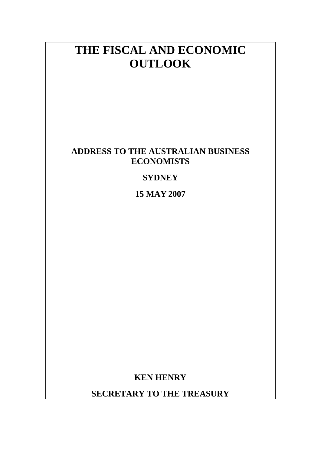# **THE FISCAL AND ECONOMIC OUTLOOK**

### **ADDRESS TO THE AUSTRALIAN BUSINESS ECONOMISTS**

### **SYDNEY**

**15 MAY 2007**

**KEN HENRY** 

**SECRETARY TO THE TREASURY**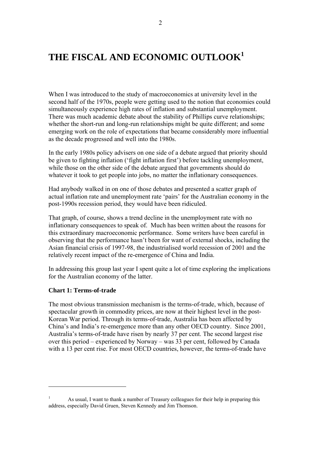# **THE FISCAL AND ECONOMIC OUTLOOK<sup>1</sup>**

When I was introduced to the study of macroeconomics at university level in the second half of the 1970s, people were getting used to the notion that economies could simultaneously experience high rates of inflation and substantial unemployment. There was much academic debate about the stability of Phillips curve relationships; whether the short-run and long-run relationships might be quite different; and some emerging work on the role of expectations that became considerably more influential as the decade progressed and well into the 1980s.

In the early 1980s policy advisers on one side of a debate argued that priority should be given to fighting inflation ('fight inflation first') before tackling unemployment, while those on the other side of the debate argued that governments should do whatever it took to get people into jobs, no matter the inflationary consequences.

Had anybody walked in on one of those debates and presented a scatter graph of actual inflation rate and unemployment rate 'pairs' for the Australian economy in the post-1990s recession period, they would have been ridiculed.

That graph, of course, shows a trend decline in the unemployment rate with no inflationary consequences to speak of. Much has been written about the reasons for this extraordinary macroeconomic performance. Some writers have been careful in observing that the performance hasn't been for want of external shocks, including the Asian financial crisis of 1997-98, the industrialised world recession of 2001 and the relatively recent impact of the re-emergence of China and India.

In addressing this group last year I spent quite a lot of time exploring the implications for the Australian economy of the latter.

#### **Chart 1: Terms-of-trade**

<u>.</u>

The most obvious transmission mechanism is the terms-of-trade, which, because of spectacular growth in commodity prices, are now at their highest level in the post-Korean War period. Through its terms-of-trade, Australia has been affected by China's and India's re-emergence more than any other OECD country. Since 2001, Australia's terms-of-trade have risen by nearly 37 per cent. The second largest rise over this period – experienced by Norway – was  $33$  per cent, followed by Canada with a 13 per cent rise. For most OECD countries, however, the terms-of-trade have

<sup>1</sup> As usual, I want to thank a number of Treasury colleagues for their help in preparing this address, especially David Gruen, Steven Kennedy and Jim Thomson.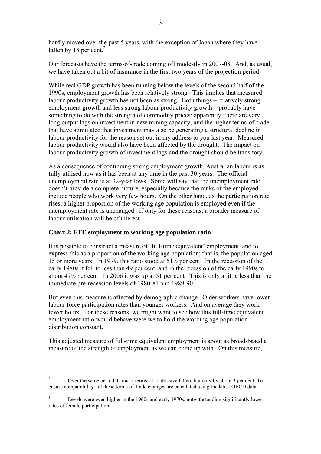hardly moved over the past 5 years, with the exception of Japan where they have fallen by 18 per cent. $2$ 

Our forecasts have the terms-of-trade coming off modestly in 2007-08. And, as usual, we have taken out a bit of insurance in the first two years of the projection period.

While real GDP growth has been running below the levels of the second half of the 1990s, employment growth has been relatively strong. This implies that measured labour productivity growth has not been as strong. Both things – relatively strong employment growth and less strong labour productivity growth  $-$  probably have something to do with the strength of commodity prices: apparently, there are very long output lags on investment in new mining capacity, and the higher terms-of-trade that have stimulated that investment may also be generating a structural decline in labour productivity for the reason set out in my address to you last year. Measured labour productivity would also have been affected by the drought. The impact on labour productivity growth of investment lags and the drought should be transitory.

As a consequence of continuing strong employment growth, Australian labour is as fully utilised now as it has been at any time in the past 30 years. The official unemployment rate is at 32-year lows. Some will say that the unemployment rate doesn't provide a complete picture, especially because the ranks of the employed include people who work very few hours. On the other hand, as the participation rate rises, a higher proportion of the working age population is employed even if the unemployment rate is unchanged. If only for these reasons, a broader measure of labour utilisation will be of interest.

### **Chart 2: FTE employment to working age population ratio**

1

It is possible to construct a measure of 'full-time equivalent' employment, and to express this as a proportion of the working age population; that is, the population aged 15 or more years. In 1979, this ratio stood at 51½ per cent. In the recession of the early 1980s it fell to less than 49 per cent, and in the recession of the early 1990s to about 47½ per cent. In 2006 it was up at 51 per cent. This is only a little less than the immediate pre-recession levels of 1980-81 and 1989-90. $3$ 

But even this measure is affected by demographic change. Older workers have lower labour force participation rates than younger workers. And on average they work fewer hours. For these reasons, we might want to see how this full-time equivalent employment ratio would behave were we to hold the working age population distribution constant.

This adjusted measure of full-time equivalent employment is about as broad-based a measure of the strength of employment as we can come up with. On this measure,

<sup>2</sup> Over the same period, China's terms-of-trade have fallen, but only by about 3 per cent. To ensure comparability, all these terms-of-trade changes are calculated using the latest OECD data.

<sup>3</sup> Levels were even higher in the 1960s and early 1970s, notwithstanding significantly lower rates of female participation.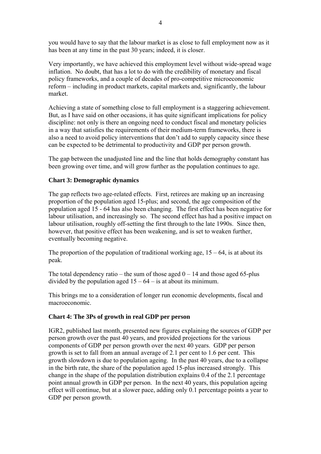you would have to say that the labour market is as close to full employment now as it has been at any time in the past 30 years; indeed, it is closer.

Very importantly, we have achieved this employment level without wide-spread wage inflation. No doubt, that has a lot to do with the credibility of monetary and fiscal policy frameworks, and a couple of decades of pro-competitive microeconomic reform – including in product markets, capital markets and, significantly, the labour market.

Achieving a state of something close to full employment is a staggering achievement. But, as I have said on other occasions, it has quite significant implications for policy discipline: not only is there an ongoing need to conduct fiscal and monetary policies in a way that satisfies the requirements of their medium-term frameworks, there is also a need to avoid policy interventions that don't add to supply capacity since these can be expected to be detrimental to productivity and GDP per person growth.

The gap between the unadjusted line and the line that holds demography constant has been growing over time, and will grow further as the population continues to age.

#### **Chart 3: Demographic dynamics**

The gap reflects two age-related effects. First, retirees are making up an increasing proportion of the population aged 15-plus; and second, the age composition of the population aged 15 - 64 has also been changing. The first effect has been negative for labour utilisation, and increasingly so. The second effect has had a positive impact on labour utilisation, roughly off-setting the first through to the late 1990s. Since then, however, that positive effect has been weakening, and is set to weaken further, eventually becoming negative.

The proportion of the population of traditional working age,  $15 - 64$ , is at about its peak.

The total dependency ratio – the sum of those aged  $0 - 14$  and those aged 65-plus divided by the population aged  $15 - 64 -$  is at about its minimum.

This brings me to a consideration of longer run economic developments, fiscal and macroeconomic.

### **Chart 4: The 3Ps of growth in real GDP per person**

IGR2, published last month, presented new figures explaining the sources of GDP per person growth over the past 40 years, and provided projections for the various components of GDP per person growth over the next 40 years. GDP per person growth is set to fall from an annual average of 2.1 per cent to 1.6 per cent. This growth slowdown is due to population ageing. In the past 40 years, due to a collapse in the birth rate, the share of the population aged 15-plus increased strongly. This change in the shape of the population distribution explains 0.4 of the 2.1 percentage point annual growth in GDP per person. In the next 40 years, this population ageing effect will continue, but at a slower pace, adding only 0.1 percentage points a year to GDP per person growth.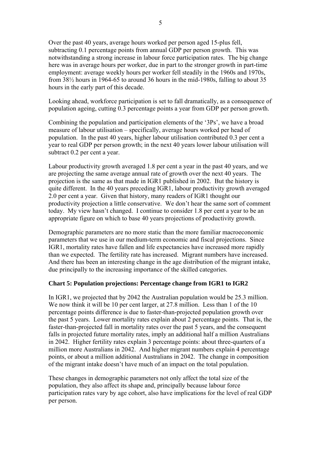Over the past 40 years, average hours worked per person aged 15-plus fell, subtracting 0.1 percentage points from annual GDP per person growth. This was notwithstanding a strong increase in labour force participation rates. The big change here was in average hours per worker, due in part to the stronger growth in part-time employment: average weekly hours per worker fell steadily in the 1960s and 1970s, from 38½ hours in 1964-65 to around 36 hours in the mid-1980s, falling to about 35 hours in the early part of this decade.

Looking ahead, workforce participation is set to fall dramatically, as a consequence of population ageing, cutting 0.3 percentage points a year from GDP per person growth.

Combining the population and participation elements of the '3Ps', we have a broad measure of labour utilisation – specifically, average hours worked per head of population. In the past 40 years, higher labour utilisation contributed 0.3 per cent a year to real GDP per person growth; in the next 40 years lower labour utilisation will subtract 0.2 per cent a year.

Labour productivity growth averaged 1.8 per cent a year in the past 40 years, and we are projecting the same average annual rate of growth over the next 40 years. The projection is the same as that made in IGR1 published in 2002. But the history is quite different. In the 40 years preceding IGR1, labour productivity growth averaged 2.0 per cent a year. Given that history, many readers of IGR1 thought our productivity projection a little conservative. We don't hear the same sort of comment today. My view hasn't changed. I continue to consider 1.8 per cent a year to be an appropriate figure on which to base 40 years projections of productivity growth.

Demographic parameters are no more static than the more familiar macroeconomic parameters that we use in our medium-term economic and fiscal projections. Since IGR1, mortality rates have fallen and life expectancies have increased more rapidly than we expected. The fertility rate has increased. Migrant numbers have increased. And there has been an interesting change in the age distribution of the migrant intake, due principally to the increasing importance of the skilled categories.

#### **Chart 5: Population projections: Percentage change from IGR1 to IGR2**

In IGR1, we projected that by 2042 the Australian population would be 25.3 million. We now think it will be 10 per cent larger, at 27.8 million. Less than 1 of the 10 percentage points difference is due to faster-than-projected population growth over the past 5 years. Lower mortality rates explain about 2 percentage points. That is, the faster-than-projected fall in mortality rates over the past 5 years, and the consequent falls in projected future mortality rates, imply an additional half a million Australians in 2042. Higher fertility rates explain 3 percentage points: about three-quarters of a million more Australians in 2042. And higher migrant numbers explain 4 percentage points, or about a million additional Australians in 2042. The change in composition of the migrant intake doesn't have much of an impact on the total population.

These changes in demographic parameters not only affect the total size of the population, they also affect its shape and, principally because labour force participation rates vary by age cohort, also have implications for the level of real GDP per person.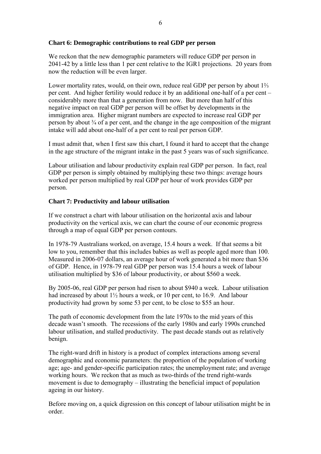### **Chart 6: Demographic contributions to real GDP per person**

We reckon that the new demographic parameters will reduce GDP per person in 2041-42 by a little less than 1 per cent relative to the IGR1 projections. 20 years from now the reduction will be even larger.

Lower mortality rates, would, on their own, reduce real GDP per person by about 1⅔ per cent. And higher fertility would reduce it by an additional one-half of a per cent  $$ considerably more than that a generation from now. But more than half of this negative impact on real GDP per person will be offset by developments in the immigration area. Higher migrant numbers are expected to increase real GDP per person by about  $\frac{3}{4}$  of a per cent, and the change in the age composition of the migrant intake will add about one-half of a per cent to real per person GDP.

I must admit that, when I first saw this chart, I found it hard to accept that the change in the age structure of the migrant intake in the past 5 years was of such significance.

Labour utilisation and labour productivity explain real GDP per person. In fact, real GDP per person is simply obtained by multiplying these two things: average hours worked per person multiplied by real GDP per hour of work provides GDP per person.

### **Chart 7: Productivity and labour utilisation**

If we construct a chart with labour utilisation on the horizontal axis and labour productivity on the vertical axis, we can chart the course of our economic progress through a map of equal GDP per person contours.

In 1978-79 Australians worked, on average, 15.4 hours a week. If that seems a bit low to you, remember that this includes babies as well as people aged more than 100. Measured in 2006-07 dollars, an average hour of work generated a bit more than \$36 of GDP. Hence, in 1978-79 real GDP per person was 15.4 hours a week of labour utilisation multiplied by \$36 of labour productivity, or about \$560 a week.

By 2005-06, real GDP per person had risen to about \$940 a week. Labour utilisation had increased by about  $1\frac{1}{2}$  hours a week, or 10 per cent, to 16.9. And labour productivity had grown by some 53 per cent, to be close to \$55 an hour.

The path of economic development from the late 1970s to the mid years of this decade wasn't smooth. The recessions of the early 1980s and early 1990s crunched labour utilisation, and stalled productivity. The past decade stands out as relatively benign.

The right-ward drift in history is a product of complex interactions among several demographic and economic parameters: the proportion of the population of working age; age- and gender-specific participation rates; the unemployment rate; and average working hours. We reckon that as much as two-thirds of the trend right-wards movement is due to demography  $-$  illustrating the beneficial impact of population ageing in our history.

Before moving on, a quick digression on this concept of labour utilisation might be in order.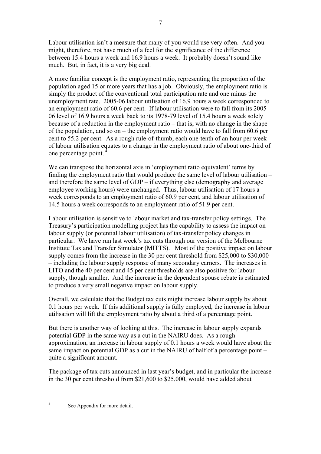Labour utilisation isn't a measure that many of you would use very often. And you might, therefore, not have much of a feel for the significance of the difference between 15.4 hours a week and 16.9 hours a week. It probably doesn't sound like much. But, in fact, it is a very big deal.

A more familiar concept is the employment ratio, representing the proportion of the population aged 15 or more years that has a job. Obviously, the employment ratio is simply the product of the conventional total participation rate and one minus the unemployment rate. 2005-06 labour utilisation of 16.9 hours a week corresponded to an employment ratio of 60.6 per cent. If labour utilisation were to fall from its 2005- 06 level of 16.9 hours a week back to its 1978-79 level of 15.4 hours a week solely because of a reduction in the employment ratio  $-$  that is, with no change in the shape of the population, and so on – the employment ratio would have to fall from 60.6 per cent to 55.2 per cent. As a rough rule-of-thumb, each one-tenth of an hour per week of labour utilisation equates to a change in the employment ratio of about one-third of one percentage point. 4

We can transpose the horizontal axis in 'employment ratio equivalent' terms by finding the employment ratio that would produce the same level of labour utilisation  $$ and therefore the same level of  $GDP - if$  everything else (demography and average employee working hours) were unchanged. Thus, labour utilisation of 17 hours a week corresponds to an employment ratio of 60.9 per cent, and labour utilisation of 14.5 hours a week corresponds to an employment ratio of 51.9 per cent.

Labour utilisation is sensitive to labour market and tax-transfer policy settings. The Treasury's participation modelling project has the capability to assess the impact on labour supply (or potential labour utilisation) of tax-transfer policy changes in particular. We have run last week's tax cuts through our version of the Melbourne Institute Tax and Transfer Simulator (MITTS). Most of the positive impact on labour supply comes from the increase in the 30 per cent threshold from \$25,000 to \$30,000  $\overline{\phantom{a}}$  including the labour supply response of many secondary earners. The increases in LITO and the 40 per cent and 45 per cent thresholds are also positive for labour supply, though smaller. And the increase in the dependent spouse rebate is estimated to produce a very small negative impact on labour supply.

Overall, we calculate that the Budget tax cuts might increase labour supply by about 0.1 hours per week. If this additional supply is fully employed, the increase in labour utilisation will lift the employment ratio by about a third of a percentage point.

But there is another way of looking at this. The increase in labour supply expands potential GDP in the same way as a cut in the NAIRU does. As a rough approximation, an increase in labour supply of 0.1 hours a week would have about the same impact on potential GDP as a cut in the NAIRU of half of a percentage point  $$ quite a significant amount.

The package of tax cuts announced in last year's budget, and in particular the increase in the 30 per cent threshold from \$21,600 to \$25,000, would have added about

4 See Appendix for more detail.

1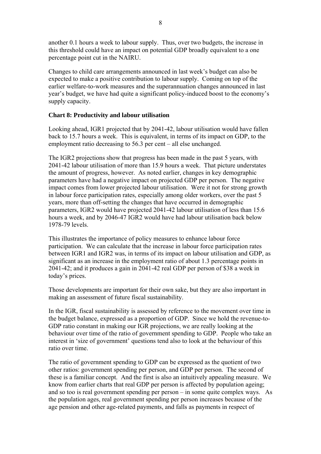another 0.1 hours a week to labour supply. Thus, over two budgets, the increase in this threshold could have an impact on potential GDP broadly equivalent to a one percentage point cut in the NAIRU.

Changes to child care arrangements announced in last week's budget can also be expected to make a positive contribution to labour supply. Coming on top of the earlier welfare-to-work measures and the superannuation changes announced in last year's budget, we have had quite a significant policy-induced boost to the economy's supply capacity.

#### **Chart 8: Productivity and labour utilisation**

Looking ahead, IGR1 projected that by 2041-42, labour utilisation would have fallen back to 15.7 hours a week. This is equivalent, in terms of its impact on GDP, to the employment ratio decreasing to  $56.3$  per cent  $-$  all else unchanged.

The IGR2 projections show that progress has been made in the past 5 years, with 2041-42 labour utilisation of more than 15.9 hours a week. That picture understates the amount of progress, however. As noted earlier, changes in key demographic parameters have had a negative impact on projected GDP per person. The negative impact comes from lower projected labour utilisation. Were it not for strong growth in labour force participation rates, especially among older workers, over the past 5 years, more than off-setting the changes that have occurred in demographic parameters, IGR2 would have projected 2041-42 labour utilisation of less than 15.6 hours a week, and by 2046-47 IGR2 would have had labour utilisation back below 1978-79 levels.

This illustrates the importance of policy measures to enhance labour force participation. We can calculate that the increase in labour force participation rates between IGR1 and IGR2 was, in terms of its impact on labour utilisation and GDP, as significant as an increase in the employment ratio of about 1.3 percentage points in 2041-42; and it produces a gain in 2041-42 real GDP per person of \$38 a week in today's prices.

Those developments are important for their own sake, but they are also important in making an assessment of future fiscal sustainability.

In the IGR, fiscal sustainability is assessed by reference to the movement over time in the budget balance, expressed as a proportion of GDP. Since we hold the revenue-to-GDP ratio constant in making our IGR projections, we are really looking at the behaviour over time of the ratio of government spending to GDP. People who take an interest in 'size of government' questions tend also to look at the behaviour of this ratio over time.

The ratio of government spending to GDP can be expressed as the quotient of two other ratios: government spending per person, and GDP per person. The second of these is a familiar concept. And the first is also an intuitively appealing measure. We know from earlier charts that real GDP per person is affected by population ageing; and so too is real government spending per person  $-\text{ in some quite complex ways.}$  As the population ages, real government spending per person increases because of the age pension and other age-related payments, and falls as payments in respect of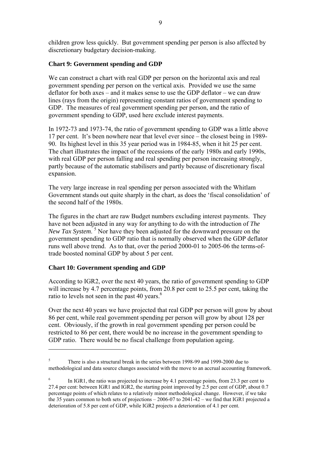children grow less quickly. But government spending per person is also affected by discretionary budgetary decision-making.

### **Chart 9: Government spending and GDP**

We can construct a chart with real GDP per person on the horizontal axis and real government spending per person on the vertical axis. Provided we use the same deflator for both axes – and it makes sense to use the GDP deflator – we can draw lines (rays from the origin) representing constant ratios of government spending to GDP. The measures of real government spending per person, and the ratio of government spending to GDP, used here exclude interest payments.

In 1972-73 and 1973-74, the ratio of government spending to GDP was a little above 17 per cent. It's been nowhere near that level ever since – the closest being in 1989-90. Its highest level in this 35 year period was in 1984-85, when it hit 25 per cent. The chart illustrates the impact of the recessions of the early 1980s and early 1990s, with real GDP per person falling and real spending per person increasing strongly, partly because of the automatic stabilisers and partly because of discretionary fiscal expansion.

The very large increase in real spending per person associated with the Whitlam Government stands out quite sharply in the chart, as does the 'fiscal consolidation' of the second half of the 1980s.

The figures in the chart are raw Budget numbers excluding interest payments. They have not been adjusted in any way for anything to do with the introduction of *The*  New Tax System.<sup>5</sup> Nor have they been adjusted for the downward pressure on the government spending to GDP ratio that is normally observed when the GDP deflator runs well above trend. As to that, over the period 2000-01 to 2005-06 the terms-oftrade boosted nominal GDP by about 5 per cent.

#### **Chart 10: Government spending and GDP**

1

According to IGR2, over the next 40 years, the ratio of government spending to GDP will increase by 4.7 percentage points, from 20.8 per cent to 25.5 per cent, taking the ratio to levels not seen in the past 40 years.<sup>6</sup>

Over the next 40 years we have projected that real GDP per person will grow by about 86 per cent, while real government spending per person will grow by about 128 per cent. Obviously, if the growth in real government spending per person could be restricted to 86 per cent, there would be no increase in the government spending to GDP ratio. There would be no fiscal challenge from population ageing.

<sup>5</sup> There is also a structural break in the series between 1998-99 and 1999-2000 due to methodological and data source changes associated with the move to an accrual accounting framework.

<sup>6</sup> In IGR1, the ratio was projected to increase by 4.1 percentage points, from 23.3 per cent to 27.4 per cent: between IGR1 and IGR2, the starting point improved by 2.5 per cent of GDP, about 0.7 percentage points of which relates to a relatively minor methodological change. However, if we take the 35 years common to both sets of projections – 2006-07 to 2041-42 – we find that IGR1 projected a deterioration of 5.8 per cent of GDP, while IGR2 projects a deterioration of 4.1 per cent.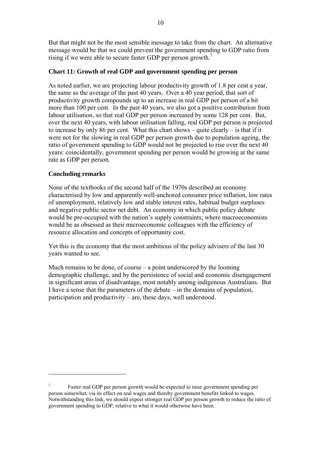But that might not be the most sensible message to take from the chart. An alternative message would be that we could prevent the government spending to GDP ratio from rising if we were able to secure faster GDP per person growth.<sup>7</sup>

### **Chart 11: Growth of real GDP and government spending per person**

As noted earlier, we are projecting labour productivity growth of 1.8 per cent a year, the same as the average of the past 40 years. Over a 40 year period, that sort of productivity growth compounds up to an increase in real GDP per person of a bit more than 100 per cent. In the past 40 years, we also got a positive contribution from labour utilisation, so that real GDP per person increased by some 128 per cent. But, over the next 40 years, with labour utilisation falling, real GDP per person is projected to increase by only 86 per cent. What this chart shows  $-\tilde{\text{ }}$ quite clearly  $-\tilde{\text{ }}$  is that if it were not for the slowing in real GDP per person growth due to population ageing, the ratio of government spending to GDP would not be projected to rise over the next 40 years: coincidentally, government spending per person would be growing at the same rate as GDP per person.

### **Concluding remarks**

1

None of the textbooks of the second half of the 1970s described an economy characterised by low and apparently well-anchored consumer price inflation, low rates of unemployment, relatively low and stable interest rates, habitual budget surpluses and negative public sector net debt. An economy in which public policy debate would be pre-occupied with the nation's supply constraints; where macroeconomists would be as obsessed as their microeconomic colleagues with the efficiency of resource allocation and concepts of opportunity cost.

Yet this is the economy that the most ambitious of the policy advisers of the last 30 years wanted to see.

Much remains to be done, of course  $-\alpha$  point underscored by the looming demographic challenge, and by the persistence of social and economic disengagement in significant areas of disadvantage, most notably among indigenous Australians. But I have a sense that the parameters of the debate  $-\text{in}$  the domains of population, participation and productivity  $-\alpha$  are, these days, well understood.

<sup>7</sup> Faster real GDP per person growth would be expected to raise government spending per person somewhat, via its effect on real wages and thereby government benefits linked to wages. Notwithstanding this link, we should expect stronger real GDP per person growth to reduce the ratio of government spending to GDP, relative to what it would otherwise have been.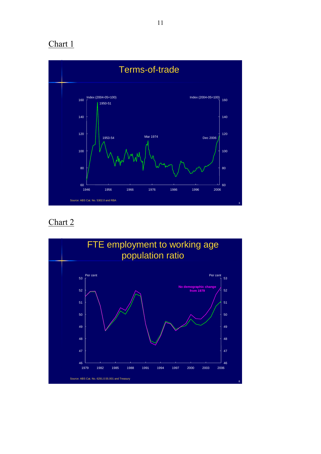

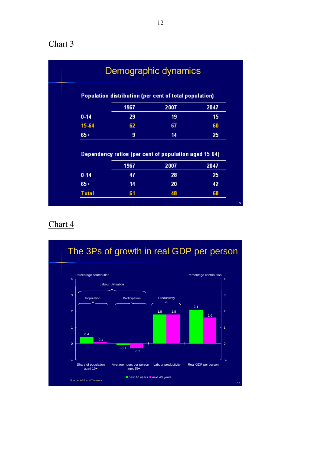|          | Demographic dynamics                                          |      |      |
|----------|---------------------------------------------------------------|------|------|
|          | Population distribution (per cent of total population)        |      |      |
|          | 1967                                                          | 2007 | 2047 |
| $0 - 14$ | 29                                                            | 19   | 15   |
| 15-64    | 62                                                            | 67   | 60   |
| $65 +$   | 9                                                             | 14   | 25   |
|          | Dependency ratios (per cent of population aged 15-64)<br>1967 | 2007 | 2047 |
|          | 47                                                            | 28   | 25   |
| $0 - 14$ |                                                               | 20   | 42   |
| $65 +$   | 14                                                            |      |      |

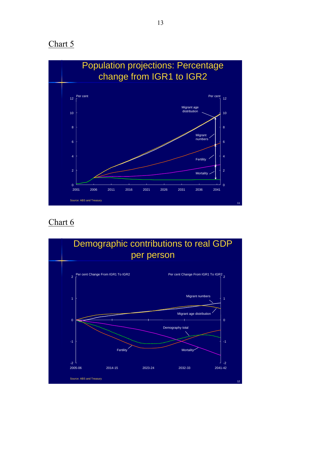

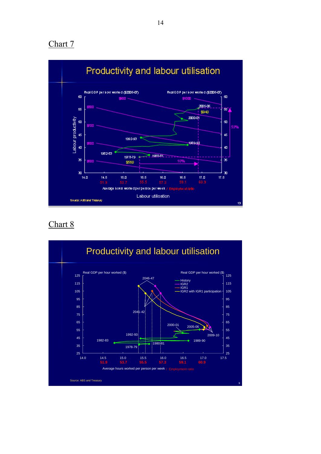

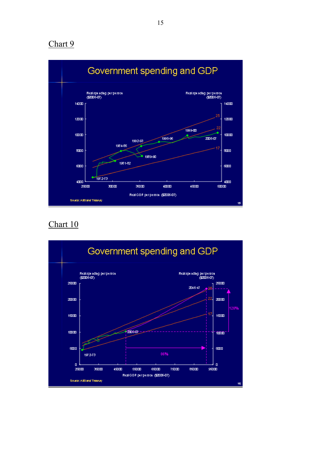

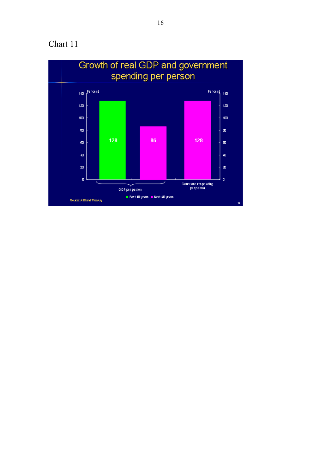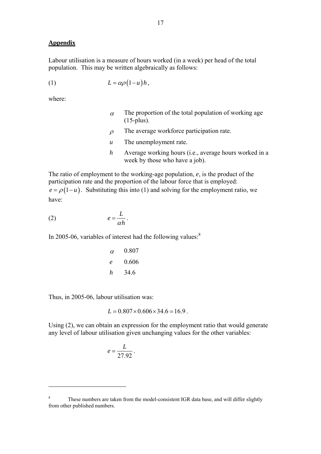#### **Appendix**

Labour utilisation is a measure of hours worked (in a week) per head of the total population. This may be written algebraically as follows:

$$
(1) \t L = \alpha \rho (1 - u) h,
$$

where:

<u>.</u>

- $\alpha$  The proportion of the total population of working age (15-plus).
- $\rho$  The average workforce participation rate.
- *u* The unemployment rate.
- *h* Average working hours (i.e., average hours worked in a week by those who have a job).

The ratio of employment to the working-age population, *e*, is the product of the participation rate and the proportion of the labour force that is employed:  $e = \rho(1-u)$ . Substituting this into (1) and solving for the employment ratio, we have:

$$
(2) \t\t\t e = \frac{L}{\alpha h}.
$$

In 2005-06, variables of interest had the following values: $8$ 

| $\alpha$ | 0.807 |
|----------|-------|
| $e$      | 0.606 |
| $h$      | 34.6  |

Thus, in 2005-06, labour utilisation was:

$$
L = 0.807 \times 0.606 \times 34.6 = 16.9
$$

Using (2), we can obtain an expression for the employment ratio that would generate any level of labour utilisation given unchanging values for the other variables:

$$
e=\frac{L}{27.92}.
$$

<sup>8</sup> These numbers are taken from the model-consistent IGR data base, and will differ slightly from other published numbers.